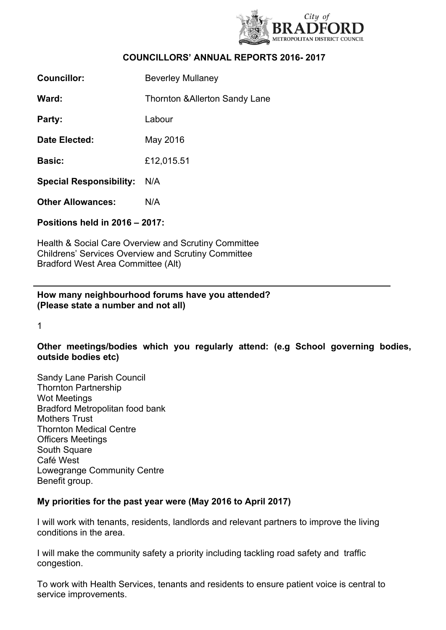

# **COUNCILLORS' ANNUAL REPORTS 2016- 2017**

| <b>Councillor:</b>             | <b>Beverley Mullaney</b>                  |
|--------------------------------|-------------------------------------------|
| Ward:                          | <b>Thornton &amp; Allerton Sandy Lane</b> |
| Party:                         | Labour                                    |
| Date Elected:                  | May 2016                                  |
| <b>Basic:</b>                  | £12,015.51                                |
| <b>Special Responsibility:</b> | N/A                                       |
| <b>Other Allowances:</b>       | N/A                                       |
| Positions held in 2016 - 2017: |                                           |
|                                |                                           |

Health & Social Care Overview and Scrutiny Committee Childrens' Services Overview and Scrutiny Committee Bradford West Area Committee (Alt)

## **How many neighbourhood forums have you attended? (Please state a number and not all)**

1

## **Other meetings/bodies which you regularly attend: (e.g School governing bodies, outside bodies etc)**

Sandy Lane Parish Council Thornton Partnership Wot Meetings Bradford Metropolitan food bank Mothers Trust Thornton Medical Centre Officers Meetings South Square Café West Lowegrange Community Centre Benefit group.

#### **My priorities for the past year were (May 2016 to April 2017)**

I will work with tenants, residents, landlords and relevant partners to improve the living conditions in the area.

I will make the community safety a priority including tackling road safety and traffic congestion.

To work with Health Services, tenants and residents to ensure patient voice is central to service improvements.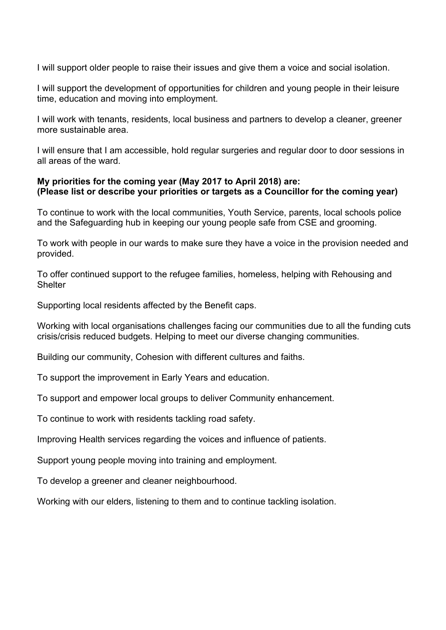I will support older people to raise their issues and give them a voice and social isolation.

I will support the development of opportunities for children and young people in their leisure time, education and moving into employment.

I will work with tenants, residents, local business and partners to develop a cleaner, greener more sustainable area.

I will ensure that I am accessible, hold regular surgeries and regular door to door sessions in all areas of the ward.

## **My priorities for the coming year (May 2017 to April 2018) are: (Please list or describe your priorities or targets as a Councillor for the coming year)**

To continue to work with the local communities, Youth Service, parents, local schools police and the Safeguarding hub in keeping our young people safe from CSE and grooming.

To work with people in our wards to make sure they have a voice in the provision needed and provided.

To offer continued support to the refugee families, homeless, helping with Rehousing and **Shelter** 

Supporting local residents affected by the Benefit caps.

Working with local organisations challenges facing our communities due to all the funding cuts crisis/crisis reduced budgets. Helping to meet our diverse changing communities.

Building our community, Cohesion with different cultures and faiths.

To support the improvement in Early Years and education.

To support and empower local groups to deliver Community enhancement.

To continue to work with residents tackling road safety.

Improving Health services regarding the voices and influence of patients.

Support young people moving into training and employment.

To develop a greener and cleaner neighbourhood.

Working with our elders, listening to them and to continue tackling isolation.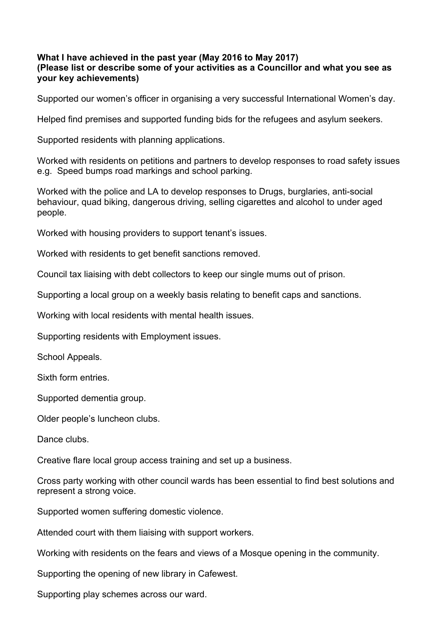#### **What I have achieved in the past year (May 2016 to May 2017) (Please list or describe some of your activities as a Councillor and what you see as your key achievements)**

Supported our women's officer in organising a very successful International Women's day.

Helped find premises and supported funding bids for the refugees and asylum seekers.

Supported residents with planning applications.

Worked with residents on petitions and partners to develop responses to road safety issues e.g. Speed bumps road markings and school parking.

Worked with the police and LA to develop responses to Drugs, burglaries, anti-social behaviour, quad biking, dangerous driving, selling cigarettes and alcohol to under aged people.

Worked with housing providers to support tenant's issues.

Worked with residents to get benefit sanctions removed.

Council tax liaising with debt collectors to keep our single mums out of prison.

Supporting a local group on a weekly basis relating to benefit caps and sanctions.

Working with local residents with mental health issues.

Supporting residents with Employment issues.

School Appeals.

Sixth form entries.

Supported dementia group.

Older people's luncheon clubs.

Dance clubs.

Creative flare local group access training and set up a business.

Cross party working with other council wards has been essential to find best solutions and represent a strong voice.

Supported women suffering domestic violence.

Attended court with them liaising with support workers.

Working with residents on the fears and views of a Mosque opening in the community.

Supporting the opening of new library in Cafewest.

Supporting play schemes across our ward.